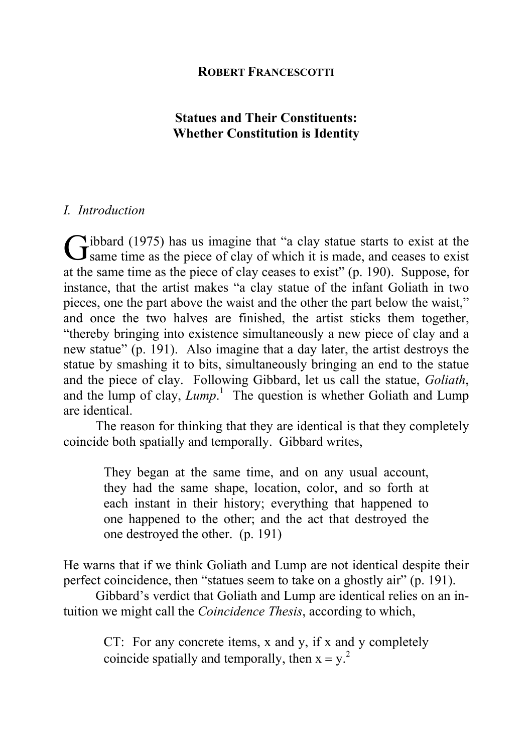# **Statues and Their Constituents: Whether Constitution is Identity**

# *I. Introduction*

 $\sim$  ibbard (1975) has us imagine that "a clay statue starts to exist at the Gibbard (1975) has us imagine that "a clay statue starts to exist at the Same time as the piece of clay of which it is made, and ceases to exist at the same time as the piece of clay ceases to exist" (p. 190). Suppose, for instance, that the artist makes "a clay statue of the infant Goliath in two pieces, one the part above the waist and the other the part below the waist," and once the two halves are finished, the artist sticks them together, "thereby bringing into existence simultaneously a new piece of clay and a new statue" (p. 191). Also imagine that a day later, the artist destroys the statue by smashing it to bits, simultaneously bringing an end to the statue and the piece of clay. Following Gibbard, let us call the statue, *Goliath*, and the lump of clay, *Lump*.<sup>1</sup> The question is whether Goliath and Lump are identical.

The reason for thinking that they are identical is that they completely coincide both spatially and temporally. Gibbard writes,

They began at the same time, and on any usual account, they had the same shape, location, color, and so forth at each instant in their history; everything that happened to one happened to the other; and the act that destroyed the one destroyed the other. (p. 191)

He warns that if we think Goliath and Lump are not identical despite their perfect coincidence, then "statues seem to take on a ghostly air" (p. 191).

Gibbard's verdict that Goliath and Lump are identical relies on an intuition we might call the *Coincidence Thesis*, according to which,

CT: For any concrete items, x and y, if x and y completely coincide spatially and temporally, then  $x = y^2$ .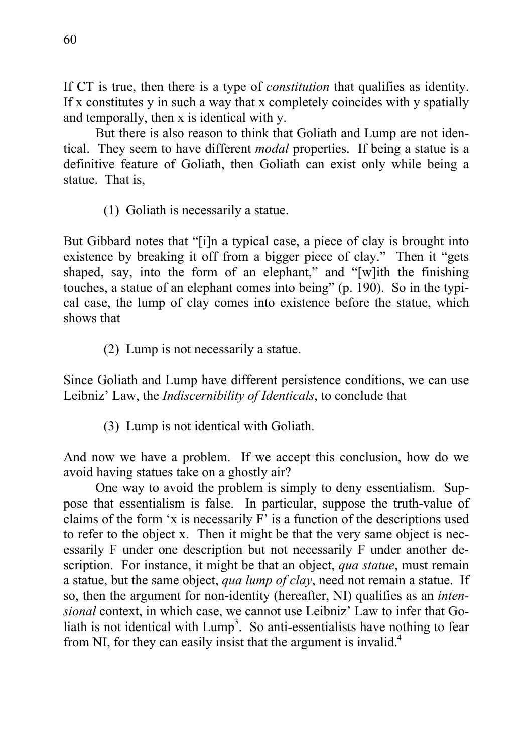If CT is true, then there is a type of *constitution* that qualifies as identity. If x constitutes y in such a way that x completely coincides with y spatially and temporally, then x is identical with y.

But there is also reason to think that Goliath and Lump are not identical. They seem to have different *modal* properties. If being a statue is a definitive feature of Goliath, then Goliath can exist only while being a statue. That is,

(1) Goliath is necessarily a statue.

But Gibbard notes that "[i]n a typical case, a piece of clay is brought into existence by breaking it off from a bigger piece of clay." Then it "gets shaped, say, into the form of an elephant," and "[w]ith the finishing touches, a statue of an elephant comes into being" (p. 190). So in the typical case, the lump of clay comes into existence before the statue, which shows that

(2) Lump is not necessarily a statue.

Since Goliath and Lump have different persistence conditions, we can use Leibniz' Law, the *Indiscernibility of Identicals*, to conclude that

(3) Lump is not identical with Goliath.

And now we have a problem. If we accept this conclusion, how do we avoid having statues take on a ghostly air?

One way to avoid the problem is simply to deny essentialism. Suppose that essentialism is false. In particular, suppose the truth-value of claims of the form 'x is necessarily F' is a function of the descriptions used to refer to the object x. Then it might be that the very same object is necessarily F under one description but not necessarily F under another description. For instance, it might be that an object, *qua statue*, must remain a statue, but the same object, *qua lump of clay*, need not remain a statue. If so, then the argument for non-identity (hereafter, NI) qualifies as an *intensional* context, in which case, we cannot use Leibniz' Law to infer that Goliath is not identical with  $Lump<sup>3</sup>$ . So anti-essentialists have nothing to fear from NI, for they can easily insist that the argument is invalid.<sup>4</sup>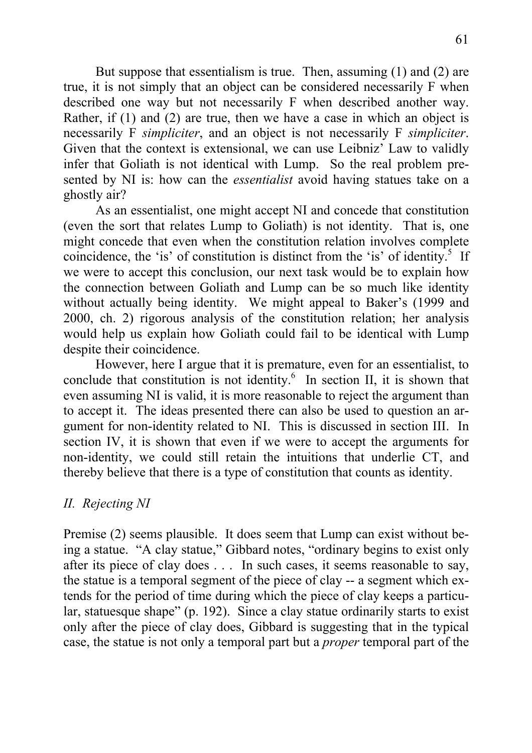But suppose that essentialism is true. Then, assuming (1) and (2) are true, it is not simply that an object can be considered necessarily F when described one way but not necessarily F when described another way. Rather, if (1) and (2) are true, then we have a case in which an object is necessarily F *simpliciter*, and an object is not necessarily F *simpliciter*. Given that the context is extensional, we can use Leibniz' Law to validly infer that Goliath is not identical with Lump. So the real problem presented by NI is: how can the *essentialist* avoid having statues take on a ghostly air?

As an essentialist, one might accept NI and concede that constitution (even the sort that relates Lump to Goliath) is not identity. That is, one might concede that even when the constitution relation involves complete coincidence, the 'is' of constitution is distinct from the 'is' of identity.<sup>5</sup> If we were to accept this conclusion, our next task would be to explain how the connection between Goliath and Lump can be so much like identity without actually being identity. We might appeal to Baker's (1999 and 2000, ch. 2) rigorous analysis of the constitution relation; her analysis would help us explain how Goliath could fail to be identical with Lump despite their coincidence.

However, here I argue that it is premature, even for an essentialist, to conclude that constitution is not identity. $6$  In section II, it is shown that even assuming NI is valid, it is more reasonable to reject the argument than to accept it. The ideas presented there can also be used to question an argument for non-identity related to NI. This is discussed in section III. In section IV, it is shown that even if we were to accept the arguments for non-identity, we could still retain the intuitions that underlie CT, and thereby believe that there is a type of constitution that counts as identity.

# *II. Rejecting NI*

Premise (2) seems plausible. It does seem that Lump can exist without being a statue. "A clay statue," Gibbard notes, "ordinary begins to exist only after its piece of clay does . . . In such cases, it seems reasonable to say, the statue is a temporal segment of the piece of clay -- a segment which extends for the period of time during which the piece of clay keeps a particular, statuesque shape" (p. 192). Since a clay statue ordinarily starts to exist only after the piece of clay does, Gibbard is suggesting that in the typical case, the statue is not only a temporal part but a *proper* temporal part of the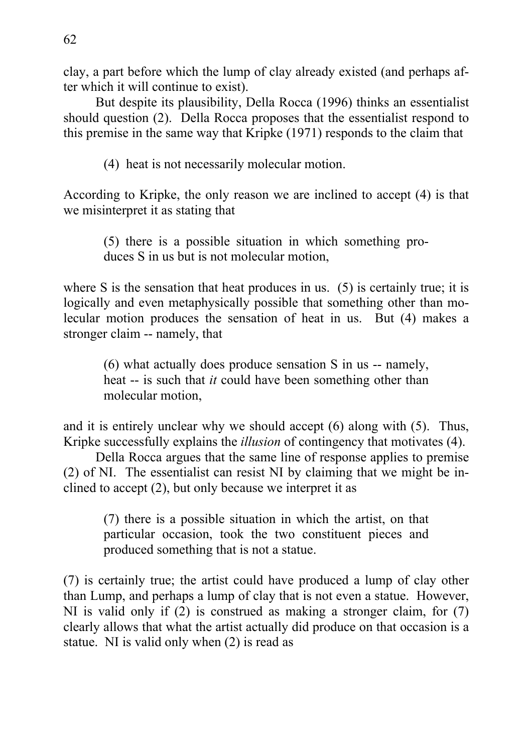clay, a part before which the lump of clay already existed (and perhaps after which it will continue to exist).

But despite its plausibility, Della Rocca (1996) thinks an essentialist should question (2). Della Rocca proposes that the essentialist respond to this premise in the same way that Kripke (1971) responds to the claim that

(4) heat is not necessarily molecular motion.

According to Kripke, the only reason we are inclined to accept (4) is that we misinterpret it as stating that

(5) there is a possible situation in which something produces S in us but is not molecular motion,

where S is the sensation that heat produces in us. (5) is certainly true; it is logically and even metaphysically possible that something other than molecular motion produces the sensation of heat in us. But (4) makes a stronger claim -- namely, that

(6) what actually does produce sensation S in us -- namely, heat -- is such that *it* could have been something other than molecular motion,

and it is entirely unclear why we should accept (6) along with (5). Thus, Kripke successfully explains the *illusion* of contingency that motivates (4).

Della Rocca argues that the same line of response applies to premise (2) of NI. The essentialist can resist NI by claiming that we might be inclined to accept (2), but only because we interpret it as

(7) there is a possible situation in which the artist, on that particular occasion, took the two constituent pieces and produced something that is not a statue.

(7) is certainly true; the artist could have produced a lump of clay other than Lump, and perhaps a lump of clay that is not even a statue. However, NI is valid only if (2) is construed as making a stronger claim, for (7) clearly allows that what the artist actually did produce on that occasion is a statue. NI is valid only when (2) is read as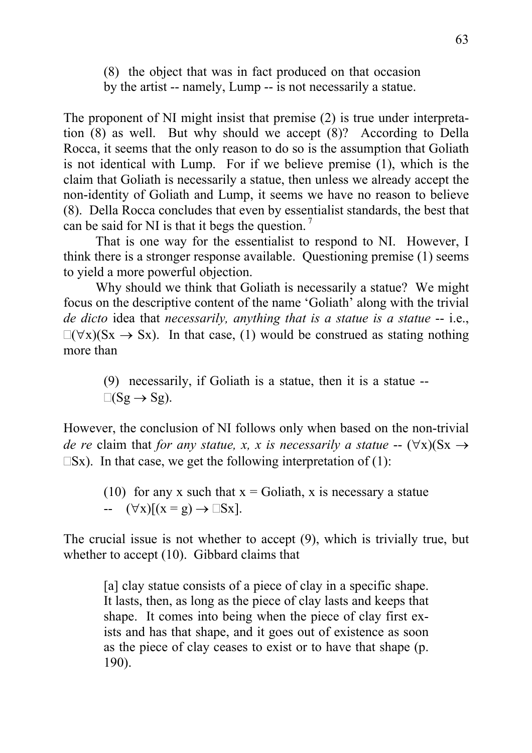(8) the object that was in fact produced on that occasion by the artist -- namely, Lump -- is not necessarily a statue.

The proponent of NI might insist that premise (2) is true under interpretation (8) as well. But why should we accept (8)? According to Della Rocca, it seems that the only reason to do so is the assumption that Goliath is not identical with Lump. For if we believe premise (1), which is the claim that Goliath is necessarily a statue, then unless we already accept the non-identity of Goliath and Lump, it seems we have no reason to believe (8). Della Rocca concludes that even by essentialist standards, the best that can be said for NI is that it begs the question.<sup>7</sup>

That is one way for the essentialist to respond to NI. However, I think there is a stronger response available. Questioning premise (1) seems to yield a more powerful objection.

Why should we think that Goliath is necessarily a statue? We might focus on the descriptive content of the name 'Goliath' along with the trivial *de dicto* idea that *necessarily, anything that is a statue is a statue* -- i.e.,  $\Box(\forall x)(Sx \rightarrow Sx)$ . In that case, (1) would be construed as stating nothing more than

(9) necessarily, if Goliath is a statue, then it is a statue --  $\square(\text{Sg} \rightarrow \text{Sg}).$ 

However, the conclusion of NI follows only when based on the non-trivial *de re* claim that *for any statue, x, x is necessarily a statue* --  $(\forall x)(Sx \rightarrow$  $\Box$ Sx). In that case, we get the following interpretation of (1):

(10) for any x such that  $x =$  Goliath, x is necessary a statue  $\left( \forall x \right) [(x = g) \rightarrow \Box Sx].$ 

The crucial issue is not whether to accept (9), which is trivially true, but whether to accept (10). Gibbard claims that

[a] clay statue consists of a piece of clay in a specific shape. It lasts, then, as long as the piece of clay lasts and keeps that shape. It comes into being when the piece of clay first exists and has that shape, and it goes out of existence as soon as the piece of clay ceases to exist or to have that shape (p. 190).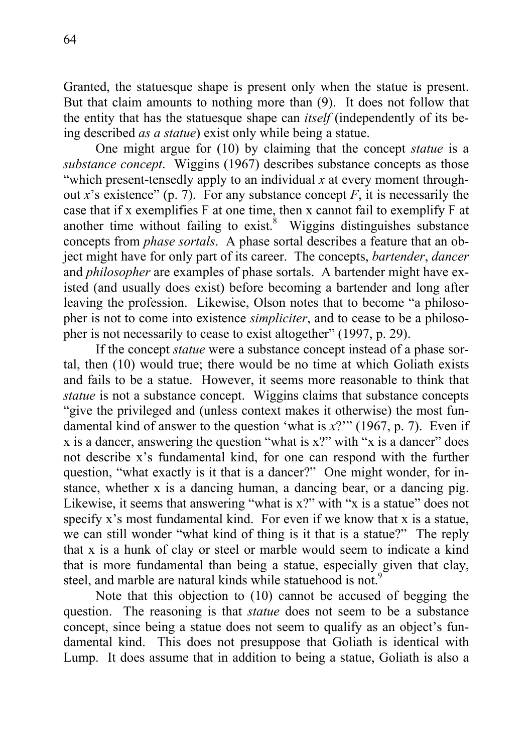Granted, the statuesque shape is present only when the statue is present. But that claim amounts to nothing more than (9). It does not follow that the entity that has the statuesque shape can *itself* (independently of its being described *as a statue*) exist only while being a statue.

One might argue for (10) by claiming that the concept *statue* is a *substance concept*. Wiggins (1967) describes substance concepts as those "which present-tensedly apply to an individual *x* at every moment throughout *x*'s existence" (p. 7). For any substance concept  $F$ , it is necessarily the case that if x exemplifies F at one time, then x cannot fail to exemplify F at another time without failing to exist. $8$  Wiggins distinguishes substance concepts from *phase sortals*. A phase sortal describes a feature that an object might have for only part of its career. The concepts, *bartender*, *dancer* and *philosopher* are examples of phase sortals. A bartender might have existed (and usually does exist) before becoming a bartender and long after leaving the profession. Likewise, Olson notes that to become "a philosopher is not to come into existence *simpliciter*, and to cease to be a philosopher is not necessarily to cease to exist altogether" (1997, p. 29).

If the concept *statue* were a substance concept instead of a phase sortal, then (10) would true; there would be no time at which Goliath exists and fails to be a statue. However, it seems more reasonable to think that *statue* is not a substance concept. Wiggins claims that substance concepts "give the privileged and (unless context makes it otherwise) the most fundamental kind of answer to the question 'what is *x*?'" (1967, p. 7). Even if x is a dancer, answering the question "what is x?" with "x is a dancer" does not describe x's fundamental kind, for one can respond with the further question, "what exactly is it that is a dancer?" One might wonder, for instance, whether x is a dancing human, a dancing bear, or a dancing pig. Likewise, it seems that answering "what is x?" with "x is a statue" does not specify x's most fundamental kind. For even if we know that x is a statue, we can still wonder "what kind of thing is it that is a statue?" The reply that x is a hunk of clay or steel or marble would seem to indicate a kind that is more fundamental than being a statue, especially given that clay, steel, and marble are natural kinds while statuehood is not.<sup>9</sup>

Note that this objection to (10) cannot be accused of begging the question. The reasoning is that *statue* does not seem to be a substance concept, since being a statue does not seem to qualify as an object's fundamental kind. This does not presuppose that Goliath is identical with Lump. It does assume that in addition to being a statue, Goliath is also a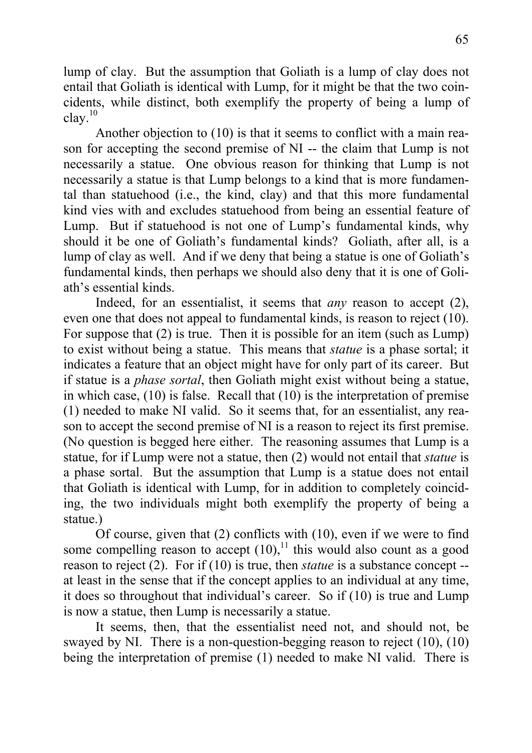lump of clay. But the assumption that Goliath is a lump of clay does not entail that Goliath is identical with Lump, for it might be that the two coincidents, while distinct, both exemplify the property of being a lump of  $clav.<sup>10</sup>$ 

Another objection to (10) is that it seems to conflict with a main reason for accepting the second premise of NI -- the claim that Lump is not necessarily a statue. One obvious reason for thinking that Lump is not necessarily a statue is that Lump belongs to a kind that is more fundamental than statuehood (i.e., the kind, clay) and that this more fundamental kind vies with and excludes statuehood from being an essential feature of Lump. But if statuehood is not one of Lump's fundamental kinds, why should it be one of Goliath's fundamental kinds? Goliath, after all, is a lump of clay as well. And if we deny that being a statue is one of Goliath's fundamental kinds, then perhaps we should also deny that it is one of Goliath's essential kinds.

Indeed, for an essentialist, it seems that *any* reason to accept (2), even one that does not appeal to fundamental kinds, is reason to reject (10). For suppose that (2) is true. Then it is possible for an item (such as Lump) to exist without being a statue. This means that *statue* is a phase sortal; it indicates a feature that an object might have for only part of its career. But if statue is a *phase sortal*, then Goliath might exist without being a statue, in which case, (10) is false. Recall that (10) is the interpretation of premise (1) needed to make NI valid. So it seems that, for an essentialist, any reason to accept the second premise of NI is a reason to reject its first premise. (No question is begged here either. The reasoning assumes that Lump is a statue, for if Lump were not a statue, then (2) would not entail that *statue* is a phase sortal. But the assumption that Lump is a statue does not entail that Goliath is identical with Lump, for in addition to completely coinciding, the two individuals might both exemplify the property of being a statue.)

Of course, given that (2) conflicts with (10), even if we were to find some compelling reason to accept  $(10)$ ,<sup>11</sup> this would also count as a good reason to reject (2). For if (10) is true, then *statue* is a substance concept - at least in the sense that if the concept applies to an individual at any time, it does so throughout that individual's career. So if (10) is true and Lump is now a statue, then Lump is necessarily a statue.

It seems, then, that the essentialist need not, and should not, be swayed by NI. There is a non-question-begging reason to reject (10), (10) being the interpretation of premise (1) needed to make NI valid. There is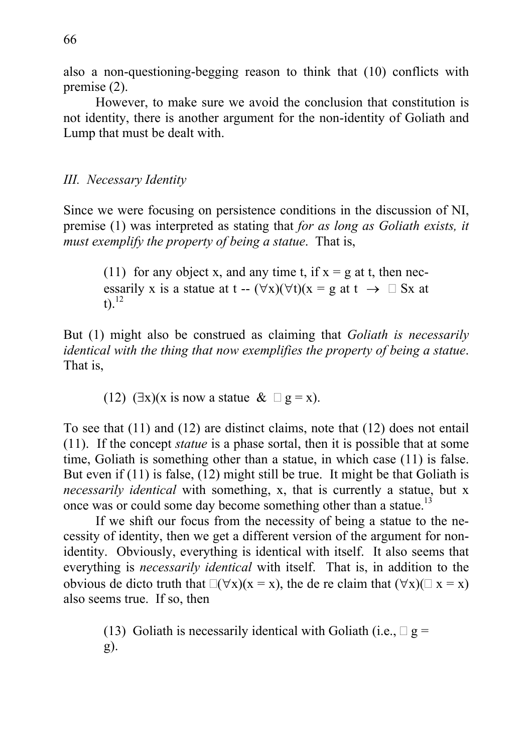also a non-questioning-begging reason to think that (10) conflicts with premise (2).

However, to make sure we avoid the conclusion that constitution is not identity, there is another argument for the non-identity of Goliath and Lump that must be dealt with.

## *III. Necessary Identity*

Since we were focusing on persistence conditions in the discussion of NI, premise (1) was interpreted as stating that *for as long as Goliath exists, it must exemplify the property of being a statue*. That is,

(11) for any object x, and any time t, if  $x = g$  at t, then necessarily x is a statue at t --  $(\forall x)(\forall t)(x = g \text{ at } t \rightarrow \Box Sx \text{ at } t$  $t$ ).<sup>12</sup>

But (1) might also be construed as claiming that *Goliath is necessarily identical with the thing that now exemplifies the property of being a statue*. That is,

(12)  $(\exists x)(x \text{ is now a statue } \& \Box g = x)$ .

To see that (11) and (12) are distinct claims, note that (12) does not entail (11). If the concept *statue* is a phase sortal, then it is possible that at some time, Goliath is something other than a statue, in which case (11) is false. But even if (11) is false, (12) might still be true. It might be that Goliath is *necessarily identical* with something, x, that is currently a statue, but x once was or could some day become something other than a statue.<sup>13</sup>

If we shift our focus from the necessity of being a statue to the necessity of identity, then we get a different version of the argument for nonidentity. Obviously, everything is identical with itself. It also seems that everything is *necessarily identical* with itself. That is, in addition to the obvious de dicto truth that  $\Box(\forall x)(x = x)$ , the de re claim that  $(\forall x)(\Box x = x)$ also seems true. If so, then

(13) Goliath is necessarily identical with Goliath (i.e.,  $\Box$  g = g).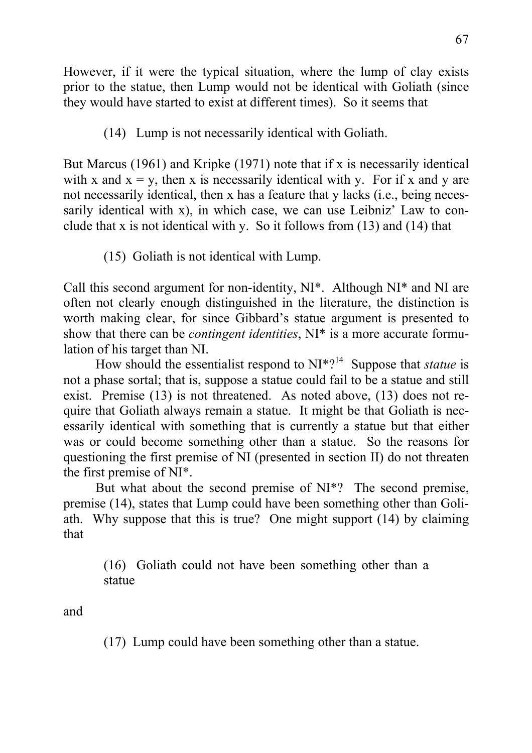However, if it were the typical situation, where the lump of clay exists prior to the statue, then Lump would not be identical with Goliath (since they would have started to exist at different times). So it seems that

(14) Lump is not necessarily identical with Goliath.

But Marcus (1961) and Kripke (1971) note that if x is necessarily identical with x and  $x = y$ , then x is necessarily identical with y. For if x and y are not necessarily identical, then x has a feature that y lacks (i.e., being necessarily identical with x), in which case, we can use Leibniz' Law to conclude that x is not identical with y. So it follows from (13) and (14) that

(15) Goliath is not identical with Lump.

Call this second argument for non-identity, NI\*. Although NI\* and NI are often not clearly enough distinguished in the literature, the distinction is worth making clear, for since Gibbard's statue argument is presented to show that there can be *contingent identities*, NI\* is a more accurate formulation of his target than NI.

How should the essentialist respond to NI<sup>\*?<sup>14</sup> Suppose that *statue* is</sup> not a phase sortal; that is, suppose a statue could fail to be a statue and still exist. Premise (13) is not threatened. As noted above, (13) does not require that Goliath always remain a statue. It might be that Goliath is necessarily identical with something that is currently a statue but that either was or could become something other than a statue. So the reasons for questioning the first premise of NI (presented in section II) do not threaten the first premise of NI\*.

But what about the second premise of NI\*? The second premise, premise (14), states that Lump could have been something other than Goliath. Why suppose that this is true? One might support (14) by claiming that

(16) Goliath could not have been something other than a statue

and

(17) Lump could have been something other than a statue.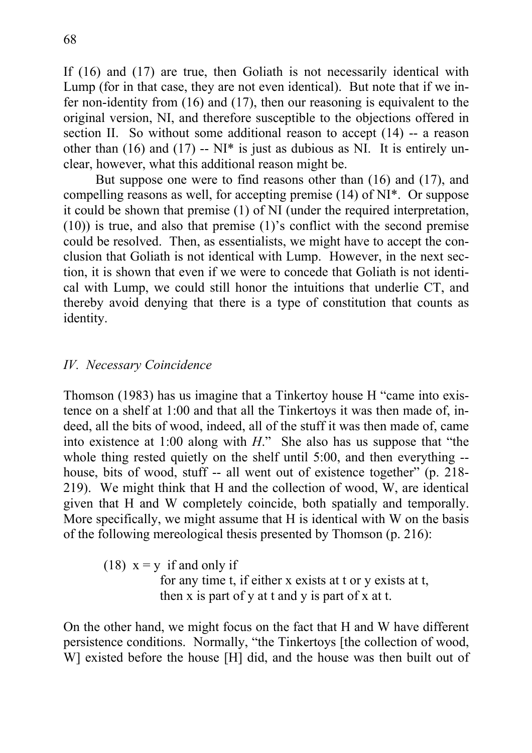If (16) and (17) are true, then Goliath is not necessarily identical with Lump (for in that case, they are not even identical). But note that if we infer non-identity from (16) and (17), then our reasoning is equivalent to the original version, NI, and therefore susceptible to the objections offered in section II. So without some additional reason to accept (14) -- a reason other than  $(16)$  and  $(17)$  -- NI<sup>\*</sup> is just as dubious as NI. It is entirely unclear, however, what this additional reason might be.

But suppose one were to find reasons other than (16) and (17), and compelling reasons as well, for accepting premise (14) of NI\*. Or suppose it could be shown that premise (1) of NI (under the required interpretation, (10)) is true, and also that premise (1)'s conflict with the second premise could be resolved. Then, as essentialists, we might have to accept the conclusion that Goliath is not identical with Lump. However, in the next section, it is shown that even if we were to concede that Goliath is not identical with Lump, we could still honor the intuitions that underlie CT, and thereby avoid denying that there is a type of constitution that counts as identity.

## *IV. Necessary Coincidence*

Thomson (1983) has us imagine that a Tinkertoy house H "came into existence on a shelf at 1:00 and that all the Tinkertoys it was then made of, indeed, all the bits of wood, indeed, all of the stuff it was then made of, came into existence at 1:00 along with *H*." She also has us suppose that "the whole thing rested quietly on the shelf until 5:00, and then everything -house, bits of wood, stuff -- all went out of existence together" (p. 218- 219). We might think that H and the collection of wood, W, are identical given that H and W completely coincide, both spatially and temporally. More specifically, we might assume that H is identical with W on the basis of the following mereological thesis presented by Thomson (p. 216):

(18)  $x = y$  if and only if for any time t, if either x exists at t or y exists at t, then x is part of y at t and y is part of x at t.

On the other hand, we might focus on the fact that H and W have different persistence conditions. Normally, "the Tinkertoys [the collection of wood, W] existed before the house [H] did, and the house was then built out of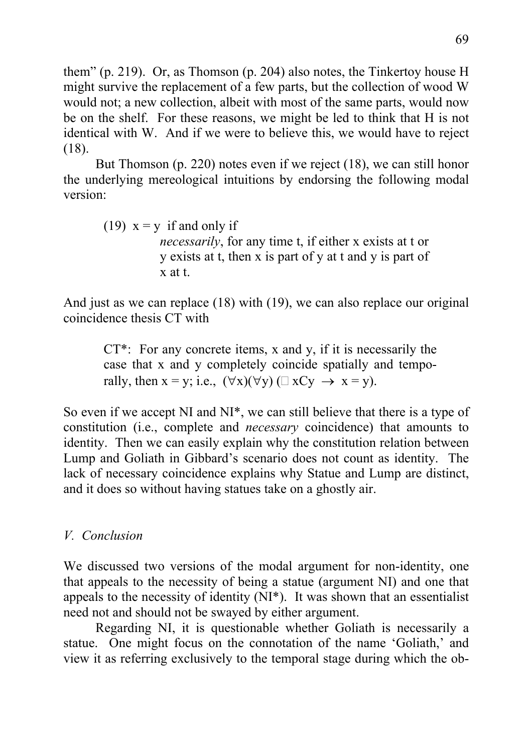them" (p. 219). Or, as Thomson (p. 204) also notes, the Tinkertoy house H might survive the replacement of a few parts, but the collection of wood W would not; a new collection, albeit with most of the same parts, would now be on the shelf. For these reasons, we might be led to think that H is not identical with W. And if we were to believe this, we would have to reject (18).

But Thomson (p. 220) notes even if we reject (18), we can still honor the underlying mereological intuitions by endorsing the following modal version:

(19)  $x = y$  if and only if *necessarily*, for any time t, if either x exists at t or y exists at t, then x is part of y at t and y is part of x at t.

And just as we can replace (18) with (19), we can also replace our original coincidence thesis CT with

 $CT^*$ : For any concrete items, x and y, if it is necessarily the case that x and y completely coincide spatially and temporally, then  $x = y$ ; i.e.,  $(\forall x)(\forall y)$  ( $\exists x Cy \rightarrow x = y$ ).

So even if we accept NI and NI\*, we can still believe that there is a type of constitution (i.e., complete and *necessary* coincidence) that amounts to identity. Then we can easily explain why the constitution relation between Lump and Goliath in Gibbard's scenario does not count as identity. The lack of necessary coincidence explains why Statue and Lump are distinct, and it does so without having statues take on a ghostly air.

# *V. Conclusion*

We discussed two versions of the modal argument for non-identity, one that appeals to the necessity of being a statue (argument NI) and one that appeals to the necessity of identity (NI\*). It was shown that an essentialist need not and should not be swayed by either argument.

Regarding NI, it is questionable whether Goliath is necessarily a statue. One might focus on the connotation of the name 'Goliath,' and view it as referring exclusively to the temporal stage during which the ob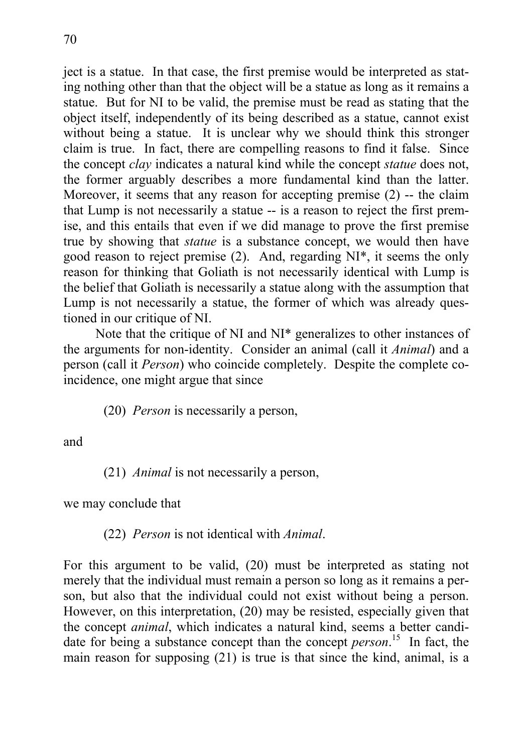ject is a statue. In that case, the first premise would be interpreted as stating nothing other than that the object will be a statue as long as it remains a statue. But for NI to be valid, the premise must be read as stating that the object itself, independently of its being described as a statue, cannot exist without being a statue. It is unclear why we should think this stronger claim is true. In fact, there are compelling reasons to find it false. Since the concept *clay* indicates a natural kind while the concept *statue* does not, the former arguably describes a more fundamental kind than the latter. Moreover, it seems that any reason for accepting premise (2) -- the claim that Lump is not necessarily a statue -- is a reason to reject the first premise, and this entails that even if we did manage to prove the first premise true by showing that *statue* is a substance concept, we would then have good reason to reject premise (2). And, regarding NI\*, it seems the only reason for thinking that Goliath is not necessarily identical with Lump is the belief that Goliath is necessarily a statue along with the assumption that Lump is not necessarily a statue, the former of which was already questioned in our critique of NI.

Note that the critique of NI and NI\* generalizes to other instances of the arguments for non-identity. Consider an animal (call it *Animal*) and a person (call it *Person*) who coincide completely. Despite the complete coincidence, one might argue that since

(20) *Person* is necessarily a person,

and

(21) *Animal* is not necessarily a person,

we may conclude that

(22) *Person* is not identical with *Animal*.

For this argument to be valid, (20) must be interpreted as stating not merely that the individual must remain a person so long as it remains a person, but also that the individual could not exist without being a person. However, on this interpretation, (20) may be resisted, especially given that the concept *animal*, which indicates a natural kind, seems a better candidate for being a substance concept than the concept *person*. 15 In fact, the main reason for supposing (21) is true is that since the kind, animal, is a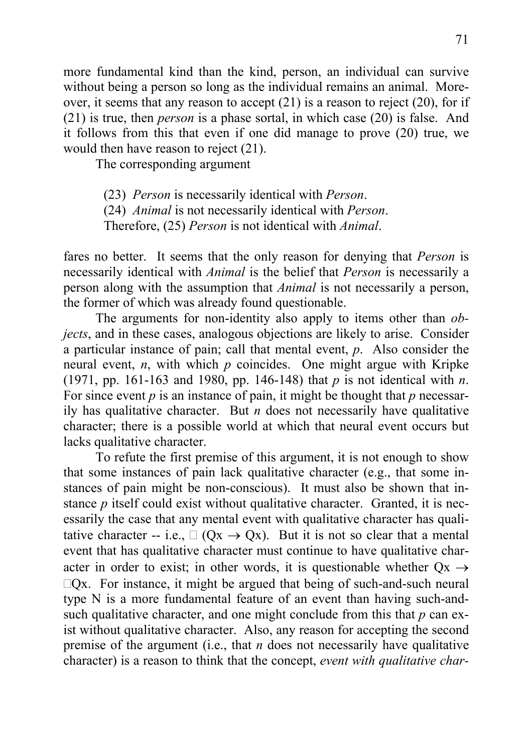more fundamental kind than the kind, person, an individual can survive without being a person so long as the individual remains an animal. Moreover, it seems that any reason to accept (21) is a reason to reject (20), for if (21) is true, then *person* is a phase sortal, in which case (20) is false. And it follows from this that even if one did manage to prove (20) true, we would then have reason to reject (21).

The corresponding argument

(23) *Person* is necessarily identical with *Person*.

(24) *Animal* is not necessarily identical with *Person*.

Therefore, (25) *Person* is not identical with *Animal*.

fares no better. It seems that the only reason for denying that *Person* is necessarily identical with *Animal* is the belief that *Person* is necessarily a person along with the assumption that *Animal* is not necessarily a person, the former of which was already found questionable.

The arguments for non-identity also apply to items other than *objects*, and in these cases, analogous objections are likely to arise. Consider a particular instance of pain; call that mental event, *p*. Also consider the neural event, *n*, with which *p* coincides. One might argue with Kripke (1971, pp. 161-163 and 1980, pp. 146-148) that *p* is not identical with *n*. For since event *p* is an instance of pain, it might be thought that *p* necessarily has qualitative character. But *n* does not necessarily have qualitative character; there is a possible world at which that neural event occurs but lacks qualitative character.

To refute the first premise of this argument, it is not enough to show that some instances of pain lack qualitative character (e.g., that some instances of pain might be non-conscious). It must also be shown that instance *p* itself could exist without qualitative character. Granted, it is necessarily the case that any mental event with qualitative character has qualitative character -- i.e.,  $\Box$  (Qx  $\rightarrow$  Qx). But it is not so clear that a mental event that has qualitative character must continue to have qualitative character in order to exist; in other words, it is questionable whether  $Qx \rightarrow$  $\Box$ Qx. For instance, it might be argued that being of such-and-such neural type N is a more fundamental feature of an event than having such-andsuch qualitative character, and one might conclude from this that *p* can exist without qualitative character. Also, any reason for accepting the second premise of the argument (i.e., that *n* does not necessarily have qualitative character) is a reason to think that the concept, *event with qualitative char-*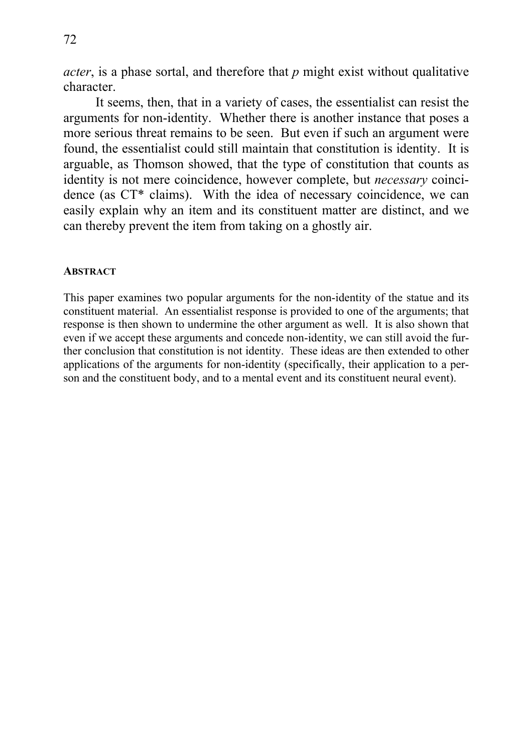72

*acter*, is a phase sortal, and therefore that *p* might exist without qualitative character.

It seems, then, that in a variety of cases, the essentialist can resist the arguments for non-identity. Whether there is another instance that poses a more serious threat remains to be seen. But even if such an argument were found, the essentialist could still maintain that constitution is identity. It is arguable, as Thomson showed, that the type of constitution that counts as identity is not mere coincidence, however complete, but *necessary* coincidence (as CT\* claims). With the idea of necessary coincidence, we can easily explain why an item and its constituent matter are distinct, and we can thereby prevent the item from taking on a ghostly air.

#### **ABSTRACT**

This paper examines two popular arguments for the non-identity of the statue and its constituent material. An essentialist response is provided to one of the arguments; that response is then shown to undermine the other argument as well. It is also shown that even if we accept these arguments and concede non-identity, we can still avoid the further conclusion that constitution is not identity. These ideas are then extended to other applications of the arguments for non-identity (specifically, their application to a person and the constituent body, and to a mental event and its constituent neural event).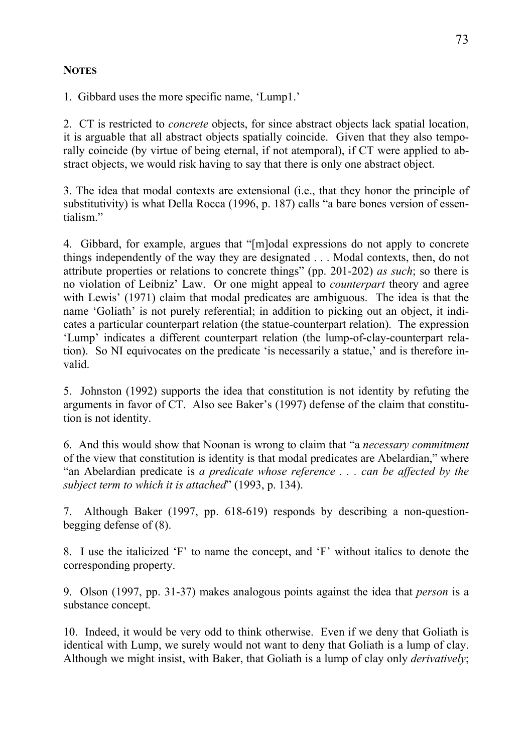### **NOTES**

1. Gibbard uses the more specific name, 'Lump1.'

2. CT is restricted to *concrete* objects, for since abstract objects lack spatial location, it is arguable that all abstract objects spatially coincide. Given that they also temporally coincide (by virtue of being eternal, if not atemporal), if CT were applied to abstract objects, we would risk having to say that there is only one abstract object.

3. The idea that modal contexts are extensional (i.e., that they honor the principle of substitutivity) is what Della Rocca (1996, p. 187) calls "a bare bones version of essentialism."

4. Gibbard, for example, argues that "[m]odal expressions do not apply to concrete things independently of the way they are designated . . . Modal contexts, then, do not attribute properties or relations to concrete things" (pp. 201-202) *as such*; so there is no violation of Leibniz' Law. Or one might appeal to *counterpart* theory and agree with Lewis' (1971) claim that modal predicates are ambiguous. The idea is that the name 'Goliath' is not purely referential; in addition to picking out an object, it indicates a particular counterpart relation (the statue-counterpart relation). The expression 'Lump' indicates a different counterpart relation (the lump-of-clay-counterpart relation). So NI equivocates on the predicate 'is necessarily a statue,' and is therefore invalid.

5. Johnston (1992) supports the idea that constitution is not identity by refuting the arguments in favor of CT. Also see Baker's (1997) defense of the claim that constitution is not identity.

6. And this would show that Noonan is wrong to claim that "a *necessary commitment* of the view that constitution is identity is that modal predicates are Abelardian," where "an Abelardian predicate is *a predicate whose reference . . . can be affected by the subject term to which it is attached*" (1993, p. 134).

7. Although Baker (1997, pp. 618-619) responds by describing a non-questionbegging defense of (8).

8. I use the italicized 'F' to name the concept, and 'F' without italics to denote the corresponding property.

9. Olson (1997, pp. 31-37) makes analogous points against the idea that *person* is a substance concept.

10. Indeed, it would be very odd to think otherwise. Even if we deny that Goliath is identical with Lump, we surely would not want to deny that Goliath is a lump of clay. Although we might insist, with Baker, that Goliath is a lump of clay only *derivatively*;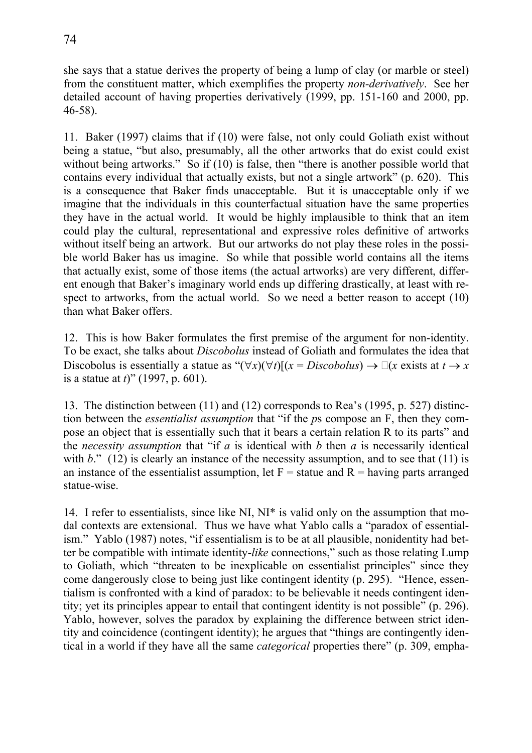she says that a statue derives the property of being a lump of clay (or marble or steel) from the constituent matter, which exemplifies the property *non-derivatively*. See her detailed account of having properties derivatively (1999, pp. 151-160 and 2000, pp. 46-58).

11. Baker (1997) claims that if (10) were false, not only could Goliath exist without being a statue, "but also, presumably, all the other artworks that do exist could exist without being artworks." So if (10) is false, then "there is another possible world that contains every individual that actually exists, but not a single artwork" (p. 620). This is a consequence that Baker finds unacceptable. But it is unacceptable only if we imagine that the individuals in this counterfactual situation have the same properties they have in the actual world. It would be highly implausible to think that an item could play the cultural, representational and expressive roles definitive of artworks without itself being an artwork. But our artworks do not play these roles in the possible world Baker has us imagine. So while that possible world contains all the items that actually exist, some of those items (the actual artworks) are very different, different enough that Baker's imaginary world ends up differing drastically, at least with respect to artworks, from the actual world. So we need a better reason to accept (10) than what Baker offers.

12. This is how Baker formulates the first premise of the argument for non-identity. To be exact, she talks about *Discobolus* instead of Goliath and formulates the idea that Discobolus is essentially a statue as " $(\forall x)(\forall t)[(x = \text{Discobolus}) \rightarrow \Box(x \text{ exists at } t \rightarrow x$ is a statue at *t*)" (1997, p. 601).

13. The distinction between (11) and (12) corresponds to Rea's (1995, p. 527) distinction between the *essentialist assumption* that "if the *p*s compose an F, then they compose an object that is essentially such that it bears a certain relation R to its parts" and the *necessity assumption* that "if  $a$  is identical with  $b$  then  $a$  is necessarily identical with  $b$ ." (12) is clearly an instance of the necessity assumption, and to see that (11) is an instance of the essentialist assumption, let  $F =$  statue and  $R =$  having parts arranged statue-wise.

14. I refer to essentialists, since like NI, NI\* is valid only on the assumption that modal contexts are extensional. Thus we have what Yablo calls a "paradox of essentialism." Yablo (1987) notes, "if essentialism is to be at all plausible, nonidentity had better be compatible with intimate identity-*like* connections," such as those relating Lump to Goliath, which "threaten to be inexplicable on essentialist principles" since they come dangerously close to being just like contingent identity (p. 295). "Hence, essentialism is confronted with a kind of paradox: to be believable it needs contingent identity; yet its principles appear to entail that contingent identity is not possible" (p. 296). Yablo, however, solves the paradox by explaining the difference between strict identity and coincidence (contingent identity); he argues that "things are contingently identical in a world if they have all the same *categorical* properties there" (p. 309, empha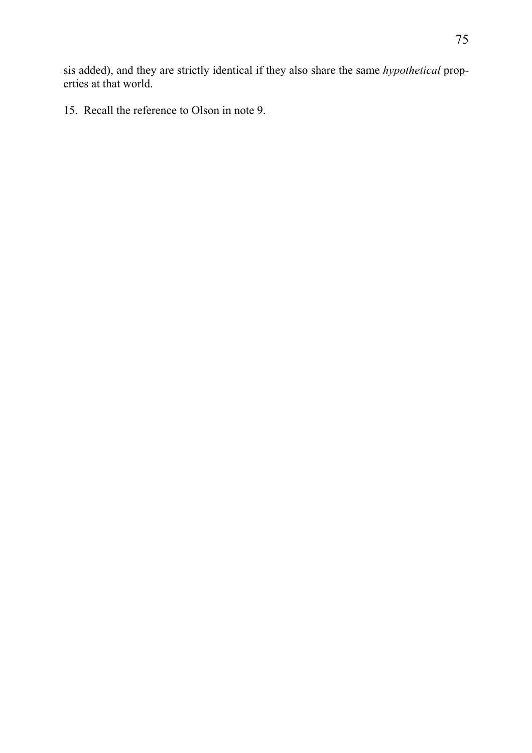sis added), and they are strictly identical if they also share the same *hypothetical* properties at that world.

15. Recall the reference to Olson in note 9.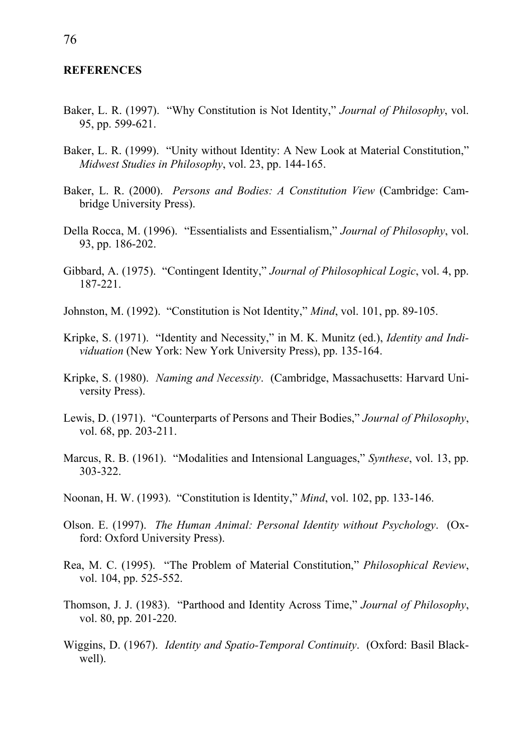#### **REFERENCES**

- Baker, L. R. (1997). "Why Constitution is Not Identity," *Journal of Philosophy*, vol. 95, pp. 599-621.
- Baker, L. R. (1999). "Unity without Identity: A New Look at Material Constitution," *Midwest Studies in Philosophy*, vol. 23, pp. 144-165.
- Baker, L. R. (2000). *Persons and Bodies: A Constitution View* (Cambridge: Cambridge University Press).
- Della Rocca, M. (1996). "Essentialists and Essentialism," *Journal of Philosophy*, vol. 93, pp. 186-202.
- Gibbard, A. (1975). "Contingent Identity," *Journal of Philosophical Logic*, vol. 4, pp. 187-221.
- Johnston, M. (1992). "Constitution is Not Identity," *Mind*, vol. 101, pp. 89-105.
- Kripke, S. (1971). "Identity and Necessity," in M. K. Munitz (ed.), *Identity and Individuation* (New York: New York University Press), pp. 135-164.
- Kripke, S. (1980). *Naming and Necessity*. (Cambridge, Massachusetts: Harvard University Press).
- Lewis, D. (1971). "Counterparts of Persons and Their Bodies," *Journal of Philosophy*, vol. 68, pp. 203-211.
- Marcus, R. B. (1961). "Modalities and Intensional Languages," *Synthese*, vol. 13, pp. 303-322.
- Noonan, H. W. (1993). "Constitution is Identity," *Mind*, vol. 102, pp. 133-146.
- Olson. E. (1997). *The Human Animal: Personal Identity without Psychology*. (Oxford: Oxford University Press).
- Rea, M. C. (1995). "The Problem of Material Constitution," *Philosophical Review*, vol. 104, pp. 525-552.
- Thomson, J. J. (1983). "Parthood and Identity Across Time," *Journal of Philosophy*, vol. 80, pp. 201-220.
- Wiggins, D. (1967). *Identity and Spatio-Temporal Continuity*. (Oxford: Basil Blackwell).